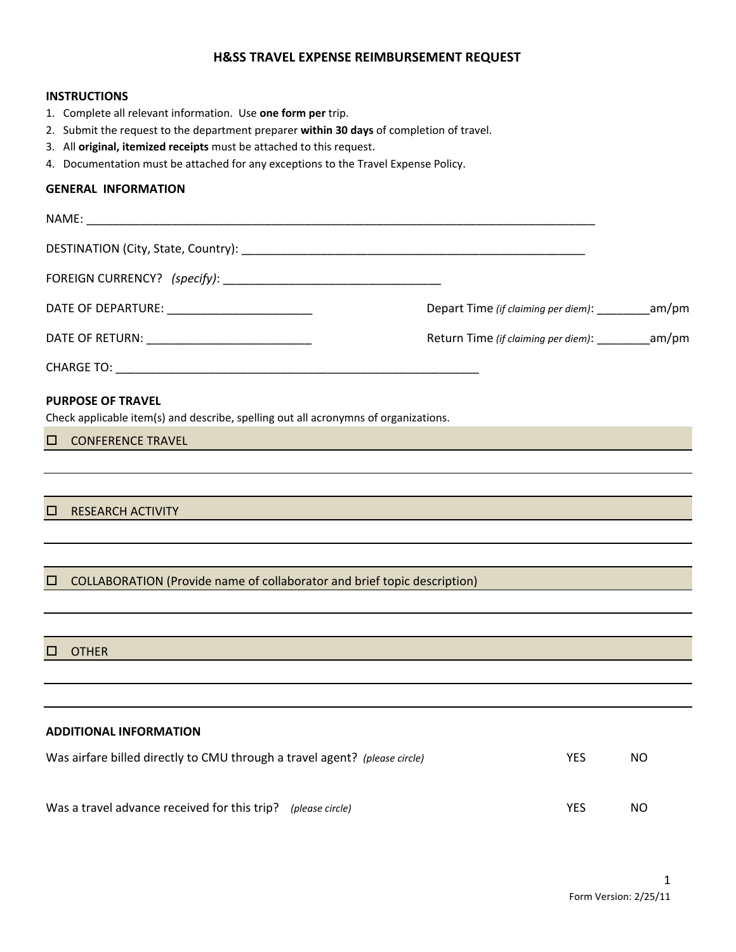## **H&SS TRAVEL EXPENSE REIMBURSEMENT REQUEST**

## **INSTRUCTIONS**

- 1. Complete all relevant information. Use one form per trip.
- 2. Submit the request to the department preparer within 30 days of completion of travel.
- 3. All **original, itemized receipts** must be attached to this request.
- 4. Documentation must be attached for any exceptions to the Travel Expense Policy.

# **GENERAL INFORMATION**

|                                                                                                                 | Depart Time (if claiming per diem): __________am/pm |     |  |  |  |  |
|-----------------------------------------------------------------------------------------------------------------|-----------------------------------------------------|-----|--|--|--|--|
|                                                                                                                 | Return Time (if claiming per diem): __________am/pm |     |  |  |  |  |
|                                                                                                                 |                                                     |     |  |  |  |  |
| <b>PURPOSE OF TRAVEL</b><br>Check applicable item(s) and describe, spelling out all acronymns of organizations. |                                                     |     |  |  |  |  |
| <b>CONFERENCE TRAVEL</b><br>□                                                                                   |                                                     |     |  |  |  |  |
|                                                                                                                 |                                                     |     |  |  |  |  |
| <b>RESEARCH ACTIVITY</b><br>□                                                                                   |                                                     |     |  |  |  |  |
| COLLABORATION (Provide name of collaborator and brief topic description)<br>□                                   |                                                     |     |  |  |  |  |
|                                                                                                                 |                                                     |     |  |  |  |  |
| □<br><b>OTHER</b>                                                                                               |                                                     |     |  |  |  |  |
|                                                                                                                 |                                                     |     |  |  |  |  |
| <b>ADDITIONAL INFORMATION</b>                                                                                   |                                                     |     |  |  |  |  |
| Was airfare billed directly to CMU through a travel agent? (please circle)                                      | <b>YES</b>                                          | NO. |  |  |  |  |
| Was a travel advance received for this trip? (please circle)<br><b>YES</b>                                      |                                                     |     |  |  |  |  |